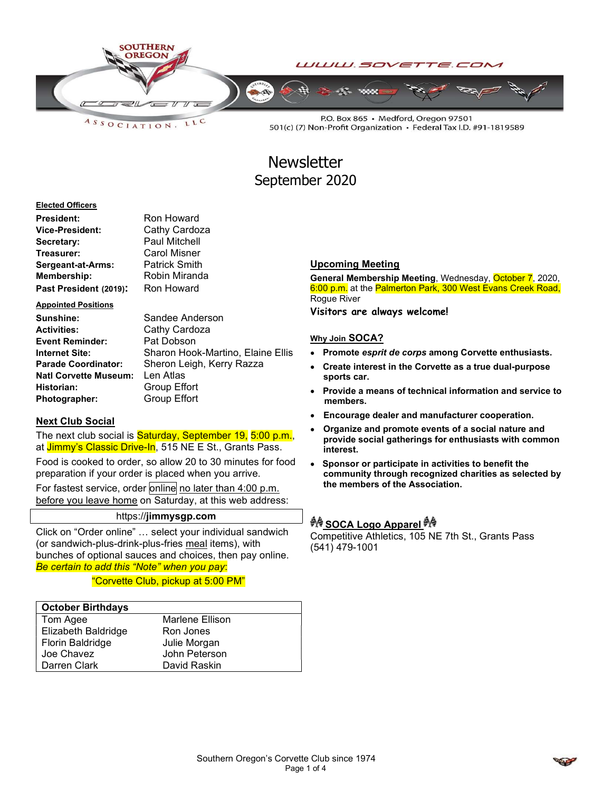

LLC  $A S S O C I AT I O N.$ 

P.O. Box 865 · Medford, Oregon 97501 501(c) (7) Non-Profit Organization · Federal Tax I.D. #91-1819589

# **Newsletter** September 2020

#### Elected Officers

| President:             | Ron Howard           |  |  |
|------------------------|----------------------|--|--|
| Vice-President:        | Cathy Cardoza        |  |  |
| Secretary:             | <b>Paul Mitchell</b> |  |  |
| Treasurer:             | <b>Carol Misner</b>  |  |  |
| Sergeant-at-Arms:      | <b>Patrick Smith</b> |  |  |
| Membership:            | Robin Miranda        |  |  |
| Past President (2019): | Ron Howard           |  |  |

#### Appointed Positions

| Sunshine:                  |   |
|----------------------------|---|
| <b>Activities:</b>         |   |
| <b>Event Reminder:</b>     | F |
| Internet Site:             |   |
| <b>Parade Coordinator:</b> |   |
| Natl Corvette Museum:      | I |
| Historian:                 |   |
| Photographer:              |   |

Sandee Anderson Cathy Cardoza Pat Dobson Sharon Hook-Martino, Elaine Ellis Sheron Leigh, Kerry Razza Len Atlas **Group Effort Broup Effort** 

### Next Club Social

The next club social is **Saturday, September 19, 5:00 p.m.**, at Jimmy's Classic Drive-In, 515 NE E St., Grants Pass.

Food is cooked to order, so allow 20 to 30 minutes for food preparation if your order is placed when you arrive.

For fastest service, order online no later than 4:00 p.m. before you leave home on Saturday, at this web address:

### https://jimmysgp.com

Click on "Order online" … select your individual sandwich (or sandwich-plus-drink-plus-fries meal items), with bunches of optional sauces and choices, then pay online. Be certain to add this "Note" when you pay:

"Corvette Club, pickup at 5:00 PM"

### October Birthdays

| Tom Agee            | Marlene Ellison |
|---------------------|-----------------|
| Elizabeth Baldridge | Ron Jones       |
| Florin Baldridge    | Julie Morgan    |
| Joe Chavez          | John Peterson   |
| Darren Clark        | David Raskin    |

### Upcoming Meeting

General Membership Meeting, Wednesday, October 7, 2020, 6:00 p.m. at the Palmerton Park, 300 West Evans Creek Road, Rogue River

Visitors are always welcome!

#### Why Join SOCA?

- Promote esprit de corps among Corvette enthusiasts.
- Create interest in the Corvette as a true dual-purpose sports car.
- Provide a means of technical information and service to members.
- Encourage dealer and manufacturer cooperation.
- Organize and promote events of a social nature and provide social gatherings for enthusiasts with common interest.
- Sponsor or participate in activities to benefit the community through recognized charities as selected by the members of the Association.

# ग्रै∲ SOCA Logo Apparel ग्रै∲

Competitive Athletics, 105 NE 7th St., Grants Pass (541) 479-1001

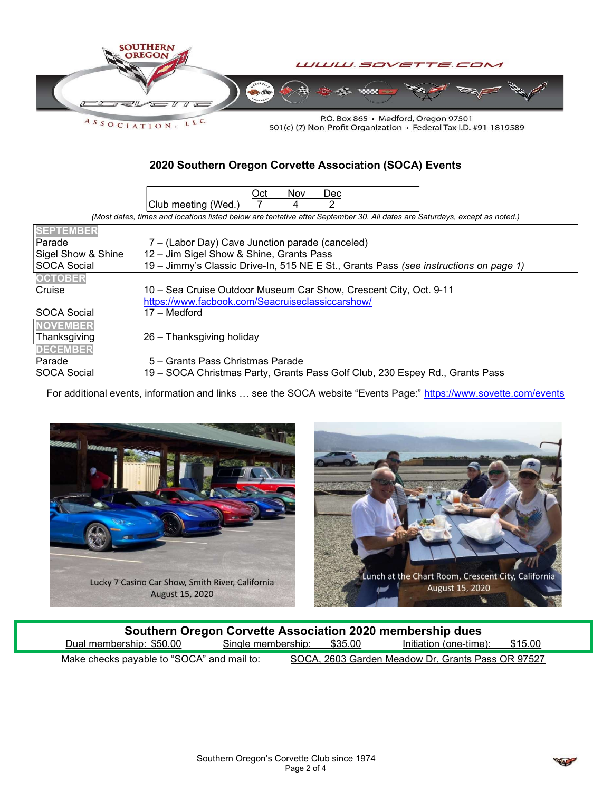

501(c) (7) Non-Profit Organization • Federal Tax I.D. #91-1819589

### 2020 Southern Oregon Corvette Association (SOCA) Events

|                                                                                                                            | Oct<br><b>Nov</b><br><b>Dec</b>                                                       |  |  |  |  |  |  |
|----------------------------------------------------------------------------------------------------------------------------|---------------------------------------------------------------------------------------|--|--|--|--|--|--|
|                                                                                                                            | 2<br>Club meeting (Wed.)<br>4                                                         |  |  |  |  |  |  |
| (Most dates, times and locations listed below are tentative after September 30. All dates are Saturdays, except as noted.) |                                                                                       |  |  |  |  |  |  |
| <b>SEPTEMBER</b>                                                                                                           |                                                                                       |  |  |  |  |  |  |
| Parade                                                                                                                     | $-7$ – (Labor Day) Cave Junction parade (canceled)                                    |  |  |  |  |  |  |
| Sigel Show & Shine                                                                                                         | 12 - Jim Sigel Show & Shine, Grants Pass                                              |  |  |  |  |  |  |
| <b>SOCA Social</b>                                                                                                         | 19 - Jimmy's Classic Drive-In, 515 NE E St., Grants Pass (see instructions on page 1) |  |  |  |  |  |  |
| <b>OCTOBER</b>                                                                                                             |                                                                                       |  |  |  |  |  |  |
| Cruise                                                                                                                     | 10 – Sea Cruise Outdoor Museum Car Show, Crescent City, Oct. 9-11                     |  |  |  |  |  |  |
|                                                                                                                            | https://www.facbook.com/Seacruiseclassiccarshow/                                      |  |  |  |  |  |  |
| <b>SOCA Social</b>                                                                                                         | 17 – Medford                                                                          |  |  |  |  |  |  |
| <b>NOVEMBER</b>                                                                                                            |                                                                                       |  |  |  |  |  |  |
| Thanksgiving                                                                                                               | 26 – Thanksgiving holiday                                                             |  |  |  |  |  |  |
| <b>DECEMBER</b>                                                                                                            |                                                                                       |  |  |  |  |  |  |
| Parade                                                                                                                     | 5 – Grants Pass Christmas Parade                                                      |  |  |  |  |  |  |
| <b>SOCA Social</b>                                                                                                         | 19 – SOCA Christmas Party, Grants Pass Golf Club, 230 Espey Rd., Grants Pass          |  |  |  |  |  |  |

For additional events, information and links ... see the SOCA website "Events Page:" https://www.sovette.com/events





| Southern Oregon Corvette Association 2020 membership dues |                            |  |                                                   |         |  |
|-----------------------------------------------------------|----------------------------|--|---------------------------------------------------|---------|--|
| Dual membership: \$50.00                                  | Single membership: \$35.00 |  | Initiation (one-time):                            | \$15.00 |  |
| Make checks payable to "SOCA" and mail to:                |                            |  | SOCA, 2603 Garden Meadow Dr, Grants Pass OR 97527 |         |  |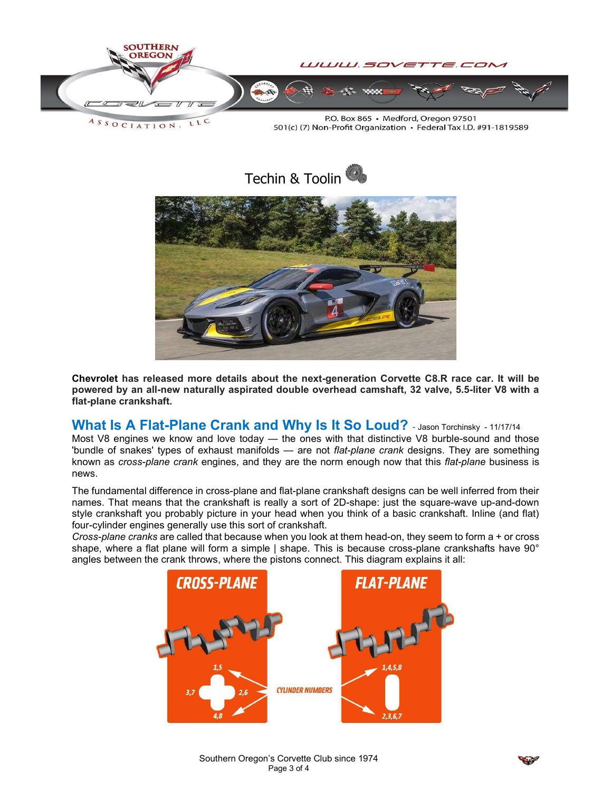

LLC  $A S S O C I A T I O N.$ 

P.O. Box 865 · Medford, Oregon 97501 501(c) (7) Non-Profit Organization · Federal Tax I.D. #91-1819589



Chevrolet has released more details about the next-generation Corvette C8.R race car. It will be powered by an all-new naturally aspirated double overhead camshaft, 32 valve, 5.5-liter V8 with a flat-plane crankshaft.

# What Is A Flat-Plane Crank and Why Is It So Loud? - Jason Torchinsky - 11/17/14

Most V8 engines we know and love today — the ones with that distinctive V8 burble-sound and those 'bundle of snakes' types of exhaust manifolds — are not flat-plane crank designs. They are something known as cross-plane crank engines, and they are the norm enough now that this flat-plane business is news.

The fundamental difference in cross-plane and flat-plane crankshaft designs can be well inferred from their names. That means that the crankshaft is really a sort of 2D-shape: just the square-wave up-and-down style crankshaft you probably picture in your head when you think of a basic crankshaft. Inline (and flat) four-cylinder engines generally use this sort of crankshaft.

Cross-plane cranks are called that because when you look at them head-on, they seem to form a + or cross shape, where a flat plane will form a simple | shape. This is because cross-plane crankshafts have 90° angles between the crank throws, where the pistons connect. This diagram explains it all: